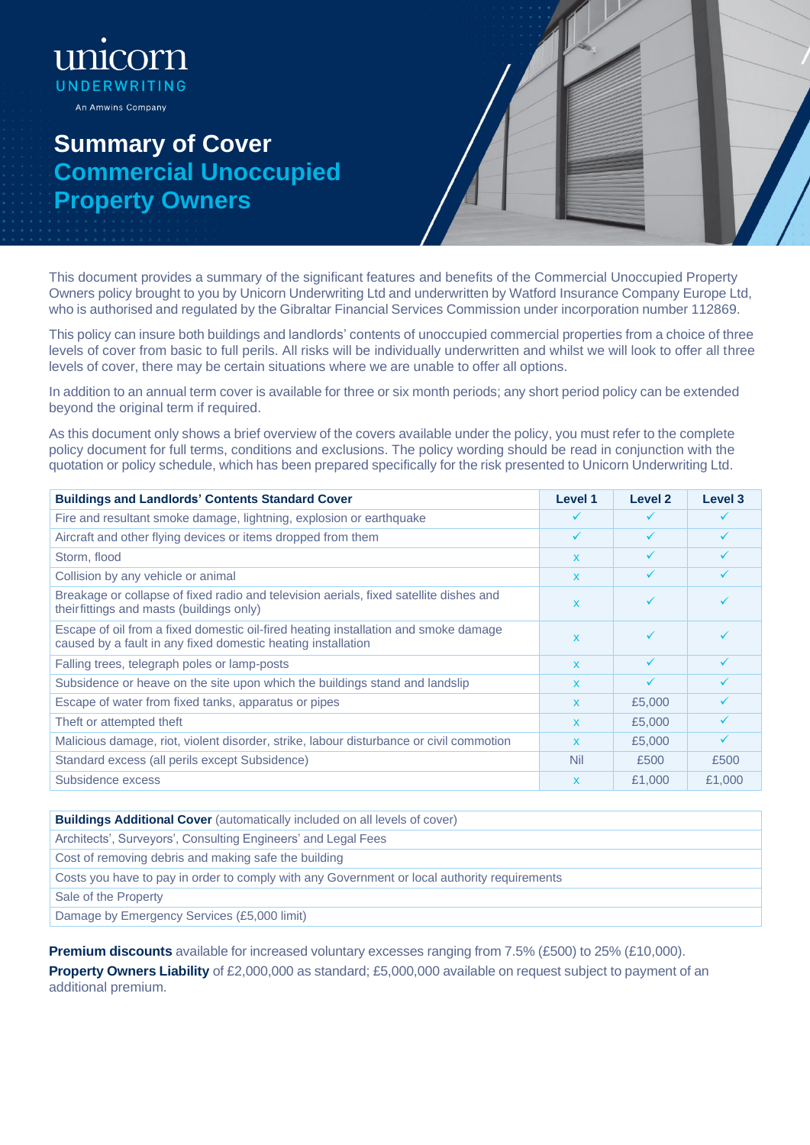unk corn UNDERWRITING An Amwins Company

## **Summary of Cover Commercial Unoccupied Property Owners**



This document provides a summary of the significant features and benefits of the Commercial Unoccupied Property Owners policy brought to you by Unicorn Underwriting Ltd and underwritten by Watford Insurance Company Europe Ltd, who is authorised and regulated by the Gibraltar Financial Services Commission under incorporation number 112869.

This policy can insure both buildings and landlords' contents of unoccupied commercial properties from a choice of three levels of cover from basic to full perils. All risks will be individually underwritten and whilst we will look to offer all three levels of cover, there may be certain situations where we are unable to offer all options.

In addition to an annual term cover is available for three or six month periods; any short period policy can be extended beyond the original term if required.

As this document only shows a brief overview of the covers available under the policy, you must refer to the complete policy document for full terms, conditions and exclusions. The policy wording should be read in conjunction with the quotation or policy schedule, which has been prepared specifically for the risk presented to Unicorn Underwriting Ltd.

| <b>Buildings and Landlords' Contents Standard Cover</b>                                                                                             | Level 1      | Level 2      | Level 3      |
|-----------------------------------------------------------------------------------------------------------------------------------------------------|--------------|--------------|--------------|
| Fire and resultant smoke damage, lightning, explosion or earthquake                                                                                 |              |              |              |
| Aircraft and other flying devices or items dropped from them                                                                                        | ✓            |              |              |
| Storm, flood                                                                                                                                        | $\mathbf{x}$ | ✓            | ✓            |
| Collision by any vehicle or animal                                                                                                                  | $\mathbf x$  |              |              |
| Breakage or collapse of fixed radio and television aerials, fixed satellite dishes and<br>theirfittings and masts (buildings only)                  | $\mathbf x$  | ✓            |              |
| Escape of oil from a fixed domestic oil-fired heating installation and smoke damage<br>caused by a fault in any fixed domestic heating installation | $\mathbf{x}$ | ✓            |              |
| Falling trees, telegraph poles or lamp-posts                                                                                                        | $\mathbf{x}$ | ✓            | $\checkmark$ |
| Subsidence or heave on the site upon which the buildings stand and landslip                                                                         | $\mathbf{x}$ | $\checkmark$ |              |
| Escape of water from fixed tanks, apparatus or pipes                                                                                                | $\mathbf{x}$ | £5,000       | $\checkmark$ |
| Theft or attempted theft                                                                                                                            | $\mathbf{x}$ | £5,000       |              |
| Malicious damage, riot, violent disorder, strike, labour disturbance or civil commotion                                                             | $\mathbf{x}$ | £5,000       | $\checkmark$ |
| Standard excess (all perils except Subsidence)                                                                                                      | Nil          | £500         | £500         |
| Subsidence excess                                                                                                                                   | $\mathsf{x}$ | £1,000       | £1,000       |

**Buildings Additional Cover** (automatically included on all levels of cover)

Architects', Surveyors', Consulting Engineers' and Legal Fees

Cost of removing debris and making safe the building

Costs you have to pay in order to comply with any Government or local authority requirements

Sale of the Property

Damage by Emergency Services (£5,000 limit)

**Premium discounts** available for increased voluntary excesses ranging from 7.5% (£500) to 25% (£10,000).

**Property Owners Liability** of £2,000,000 as standard; £5,000,000 available on request subject to payment of an additional premium.